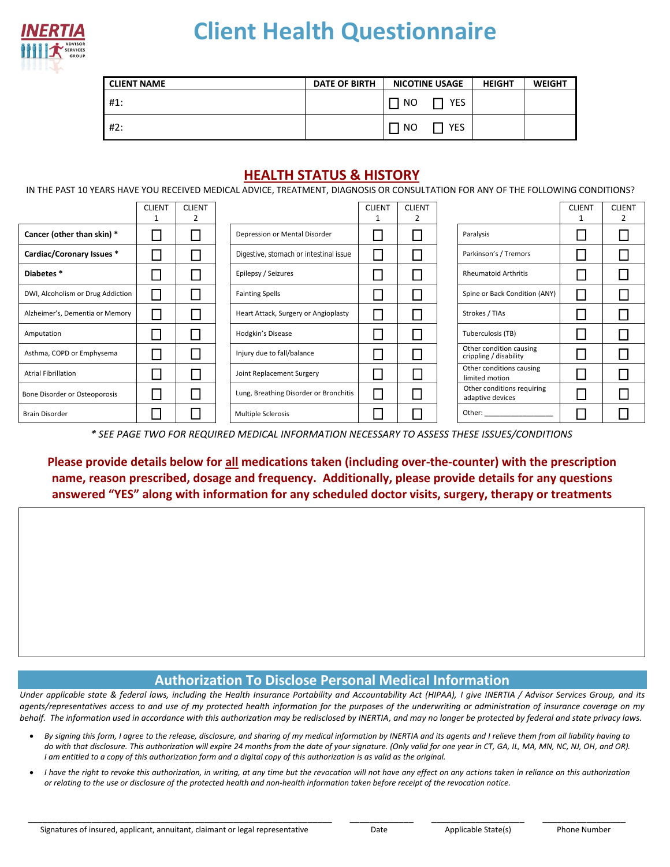

## **Client Health Questionnaire**

| <b>CLIENT NAME</b> | <b>DATE OF BIRTH</b> | <b>NICOTINE USAGE</b> | <b>HEIGHT</b> | <b>WEIGHT</b> |
|--------------------|----------------------|-----------------------|---------------|---------------|
| #1:                |                      | 1 NO<br><b>YES</b>    |               |               |
| #2:                |                      | <b>YES</b><br>NO      |               |               |

## **HEALTH STATUS & HISTORY**

IN THE PAST 10 YEARS HAVE YOU RECEIVED MEDICAL ADVICE, TREATMENT, DIAGNOSIS OR CONSULTATION FOR ANY OF THE FOLLOWING CONDITIONS?

|                                   | <b>CLIENT</b> | <b>CLIENT</b> |                                        | <b>CLIENT</b> | <b>CLIENT</b> |                                                   | <b>CLIENT</b> | <b>CLIENT</b> |
|-----------------------------------|---------------|---------------|----------------------------------------|---------------|---------------|---------------------------------------------------|---------------|---------------|
|                                   |               |               |                                        |               | 2             |                                                   |               |               |
| Cancer (other than skin) *        |               |               | Depression or Mental Disorder          |               |               | Paralysis                                         |               |               |
| Cardiac/Coronary Issues *         |               |               | Digestive, stomach or intestinal issue |               |               | Parkinson's / Tremors                             |               |               |
| Diabetes*                         |               |               | Epilepsy / Seizures                    |               |               | <b>Rheumatoid Arthritis</b>                       |               |               |
| DWI, Alcoholism or Drug Addiction | $\sim$        |               | <b>Fainting Spells</b>                 |               | $\sim$        | Spine or Back Condition (ANY)                     |               |               |
| Alzheimer's, Dementia or Memory   |               |               | Heart Attack, Surgery or Angioplasty   |               |               | Strokes / TIAs                                    |               |               |
| Amputation                        |               |               | <b>Hodgkin's Disease</b>               |               |               | Tuberculosis (TB)                                 |               |               |
| Asthma, COPD or Emphysema         |               |               | Injury due to fall/balance             |               |               | Other condition causing<br>crippling / disability |               |               |
| <b>Atrial Fibrillation</b>        |               |               | Joint Replacement Surgery              |               |               | Other conditions causing<br>limited motion        |               |               |
| Bone Disorder or Osteoporosis     |               |               | Lung, Breathing Disorder or Bronchitis |               |               | Other conditions requiring<br>adaptive devices    |               |               |
| <b>Brain Disorder</b>             |               |               | <b>Multiple Sclerosis</b>              |               |               | Other:                                            |               |               |

*\* SEE PAGE TWO FOR REQUIRED MEDICAL INFORMATION NECESSARY TO ASSESS THESE ISSUES/CONDITIONS*

**Please provide details below for all medications taken (including over-the-counter) with the prescription name, reason prescribed, dosage and frequency. Additionally, please provide details for any questions answered "YES" along with information for any scheduled doctor visits, surgery, therapy or treatments**

## **Authorization To Disclose Personal Medical Information**

*Under applicable state & federal laws, including the Health Insurance Portability and Accountability Act (HIPAA), I give INERTIA / Advisor Services Group, and its agents/representatives access to and use of my protected health information for the purposes of the underwriting or administration of insurance coverage on my behalf. The information used in accordance with this authorization may be redisclosed by INERTIA, and may no longer be protected by federal and state privacy laws.* 

- *By signing this form, I agree to the release, disclosure, and sharing of my medical information by INERTIA and its agents and I relieve them from all liability having to do with that disclosure. This authorization will expire 24 months from the date of your signature. (Only valid for one year in CT, GA, IL, MA, MN, NC, NJ, OH, and OR). I am entitled to a copy of this authorization form and a digital copy of this authorization is as valid as the original.*
- *I have the right to revoke this authorization, in writing, at any time but the revocation will not have any effect on any actions taken in reliance on this authorization or relating to the use or disclosure of the protected health and non-health information taken before receipt of the revocation notice.*

 **\_\_\_\_\_\_\_\_\_\_\_\_\_\_\_\_\_\_\_\_\_\_\_\_\_\_\_\_\_\_\_\_\_\_\_\_\_\_\_\_\_\_\_\_\_\_\_\_\_\_\_\_\_\_\_\_\_\_\_\_\_\_ \_\_\_\_\_\_\_\_\_\_\_\_\_ \_\_\_\_\_\_\_\_\_\_\_\_\_\_\_\_\_\_\_ \_\_\_\_\_\_\_\_\_\_\_\_\_\_\_\_\_**